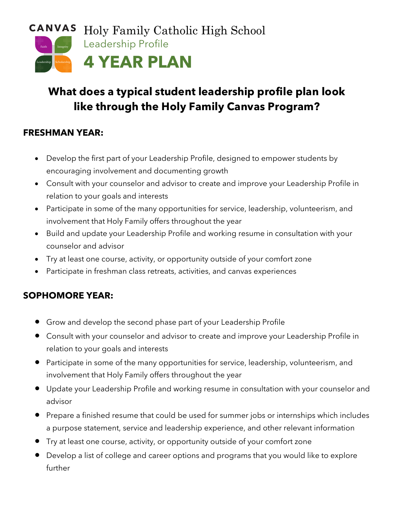

# **What does a typical student leadership profile plan look like through the Holy Family Canvas Program?**

### **FRESHMAN YEAR:**

- Develop the first part of your Leadership Profile, designed to empower students by encouraging involvement and documenting growth
- Consult with your counselor and advisor to create and improve your Leadership Profile in relation to your goals and interests
- Participate in some of the many opportunities for service, leadership, volunteerism, and involvement that Holy Family offers throughout the year
- Build and update your Leadership Profile and working resume in consultation with your counselor and advisor
- Try at least one course, activity, or opportunity outside of your comfort zone
- Participate in freshman class retreats, activities, and canvas experiences

### **SOPHOMORE YEAR:**

- Grow and develop the second phase part of your Leadership Profile
- Consult with your counselor and advisor to create and improve your Leadership Profile in relation to your goals and interests
- Participate in some of the many opportunities for service, leadership, volunteerism, and involvement that Holy Family offers throughout the year
- Update your Leadership Profile and working resume in consultation with your counselor and advisor
- Prepare a finished resume that could be used for summer jobs or internships which includes a purpose statement, service and leadership experience, and other relevant information
- Try at least one course, activity, or opportunity outside of your comfort zone
- Develop a list of college and career options and programs that you would like to explore further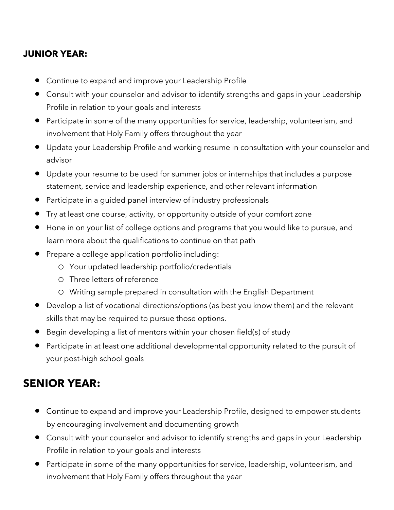### **JUNIOR YEAR:**

- Continue to expand and improve your Leadership Profile
- Consult with your counselor and advisor to identify strengths and gaps in your Leadership Profile in relation to your goals and interests
- Participate in some of the many opportunities for service, leadership, volunteerism, and involvement that Holy Family offers throughout the year
- Update your Leadership Profile and working resume in consultation with your counselor and advisor
- Update your resume to be used for summer jobs or internships that includes a purpose statement, service and leadership experience, and other relevant information
- Participate in a guided panel interview of industry professionals
- Try at least one course, activity, or opportunity outside of your comfort zone
- Hone in on your list of college options and programs that you would like to pursue, and learn more about the qualifications to continue on that path
- Prepare a college application portfolio including:
	- o Your updated leadership portfolio/credentials
	- o Three letters of reference
	- o Writing sample prepared in consultation with the English Department
- Develop a list of vocational directions/options (as best you know them) and the relevant skills that may be required to pursue those options.
- Begin developing a list of mentors within your chosen field(s) of study
- Participate in at least one additional developmental opportunity related to the pursuit of your post-high school goals

## **SENIOR YEAR:**

- Continue to expand and improve your Leadership Profile, designed to empower students by encouraging involvement and documenting growth
- Consult with your counselor and advisor to identify strengths and gaps in your Leadership Profile in relation to your goals and interests
- Participate in some of the many opportunities for service, leadership, volunteerism, and involvement that Holy Family offers throughout the year